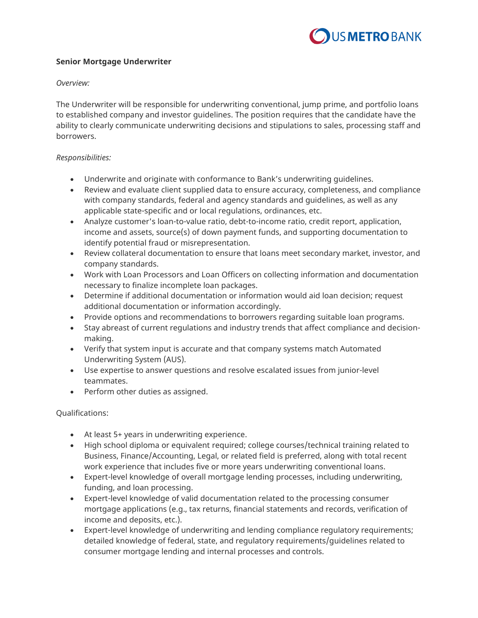

## **Senior Mortgage Underwriter**

*Overview:*

The Underwriter will be responsible for underwriting conventional, jump prime, and portfolio loans to established company and investor guidelines. The position requires that the candidate have the ability to clearly communicate underwriting decisions and stipulations to sales, processing staff and borrowers.

## *Responsibilities:*

- Underwrite and originate with conformance to Bank's underwriting guidelines.
- Review and evaluate client supplied data to ensure accuracy, completeness, and compliance with company standards, federal and agency standards and guidelines, as well as any applicable state-specific and or local regulations, ordinances, etc.
- Analyze customer's loan-to-value ratio, debt-to-income ratio, credit report, application, income and assets, source(s) of down payment funds, and supporting documentation to identify potential fraud or misrepresentation.
- Review collateral documentation to ensure that loans meet secondary market, investor, and company standards.
- Work with Loan Processors and Loan Officers on collecting information and documentation necessary to finalize incomplete loan packages.
- Determine if additional documentation or information would aid loan decision; request additional documentation or information accordingly.
- Provide options and recommendations to borrowers regarding suitable loan programs.
- Stay abreast of current regulations and industry trends that affect compliance and decisionmaking.
- Verify that system input is accurate and that company systems match Automated Underwriting System (AUS).
- Use expertise to answer questions and resolve escalated issues from junior-level teammates.
- Perform other duties as assigned.

Qualifications:

- At least 5+ years in underwriting experience.
- High school diploma or equivalent required; college courses/technical training related to Business, Finance/Accounting, Legal, or related field is preferred, along with total recent work experience that includes five or more years underwriting conventional loans.
- Expert-level knowledge of overall mortgage lending processes, including underwriting, funding, and loan processing.
- Expert-level knowledge of valid documentation related to the processing consumer mortgage applications (e.g., tax returns, financial statements and records, verification of income and deposits, etc.).
- Expert-level knowledge of underwriting and lending compliance regulatory requirements; detailed knowledge of federal, state, and regulatory requirements/guidelines related to consumer mortgage lending and internal processes and controls.